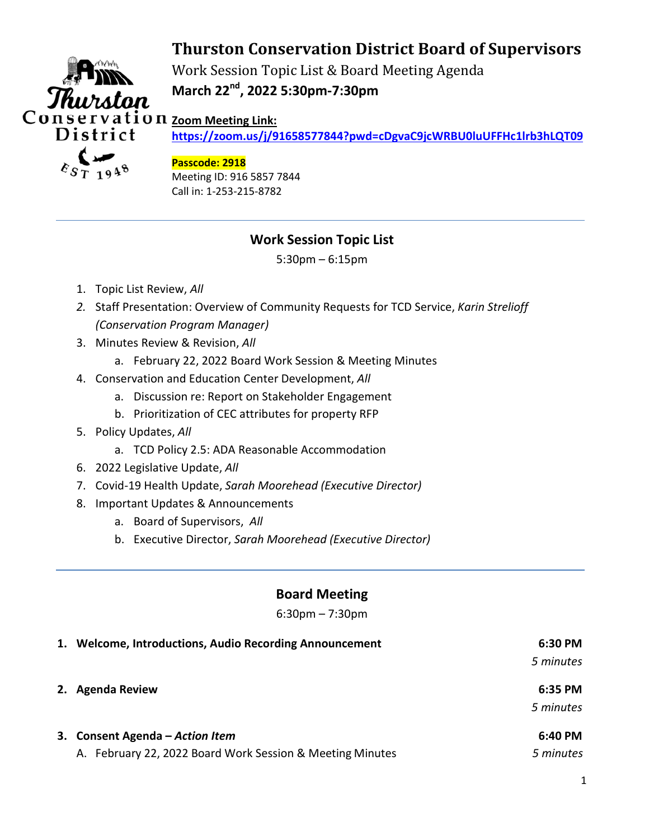# **Thurston Conservation District Board of Supervisors**



Work Session Topic List & Board Meeting Agenda **March 22nd, 2022 5:30pm-7:30pm** 

**https://zoom.us/j/91658577844?pwd=cDgvaC9jcWRBU0luUFFHc1lrb3hLQT09**

#### **Passcode: 2918**

Meeting ID: 916 5857 7844 Call in: 1-253-215-8782

# **Work Session Topic List**

5:30pm – 6:15pm

- 1. Topic List Review, *All*
- *2.* Staff Presentation: Overview of Community Requests for TCD Service, *Karin Strelioff (Conservation Program Manager)*
- 3. Minutes Review & Revision, *All*
	- a. February 22, 2022 Board Work Session & Meeting Minutes
- 4. Conservation and Education Center Development, *All*
	- a. Discussion re: Report on Stakeholder Engagement
	- b. Prioritization of CEC attributes for property RFP
- 5. Policy Updates, *All*
	- a. TCD Policy 2.5: ADA Reasonable Accommodation
- 6. 2022 Legislative Update, *All*
- 7. Covid-19 Health Update, *Sarah Moorehead (Executive Director)*
- 8. Important Updates & Announcements
	- a. Board of Supervisors, *All*
	- b. Executive Director, *Sarah Moorehead (Executive Director)*

### **Board Meeting**

6:30pm – 7:30pm

| 1. Welcome, Introductions, Audio Recording Announcement   | 6:30 PM   |
|-----------------------------------------------------------|-----------|
|                                                           | 5 minutes |
| 2. Agenda Review                                          | 6:35 PM   |
|                                                           | 5 minutes |
| 3. Consent Agenda – Action Item                           | 6:40 PM   |
| A. February 22, 2022 Board Work Session & Meeting Minutes | 5 minutes |